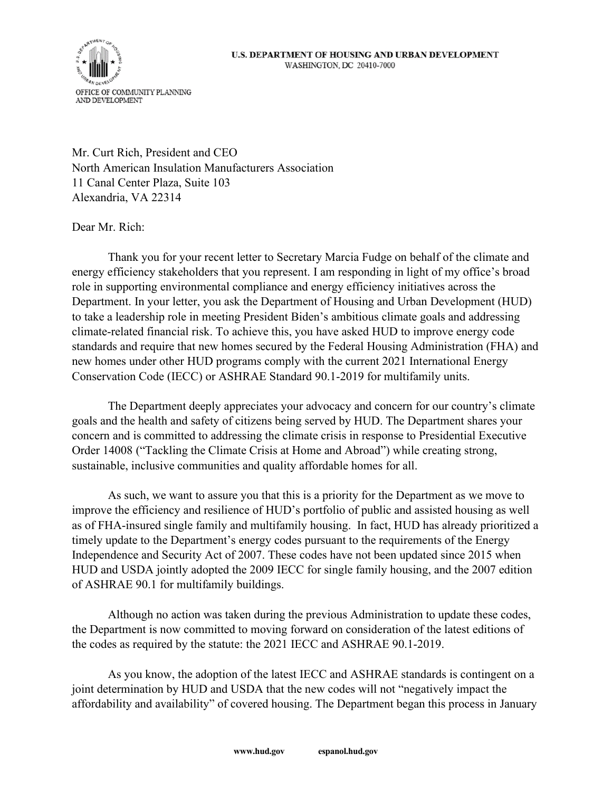## U.S. DEPARTMENT OF HOUSING AND URBAN DEVELOPMENT WASHINGTON, DC 20410-7000



Mr. Curt Rich, President and CEO North American Insulation Manufacturers Association 11 Canal Center Plaza, Suite 103 Alexandria, VA 22314

Dear Mr. Rich:

Thank you for your recent letter to Secretary Marcia Fudge on behalf of the climate and energy efficiency stakeholders that you represent. I am responding in light of my office's broad role in supporting environmental compliance and energy efficiency initiatives across the Department. In your letter, you ask the Department of Housing and Urban Development (HUD) to take a leadership role in meeting President Biden's ambitious climate goals and addressing climate-related financial risk. To achieve this, you have asked HUD to improve energy code standards and require that new homes secured by the Federal Housing Administration (FHA) and new homes under other HUD programs comply with the current 2021 International Energy Conservation Code (IECC) or ASHRAE Standard 90.1-2019 for multifamily units.

The Department deeply appreciates your advocacy and concern for our country's climate goals and the health and safety of citizens being served by HUD. The Department shares your concern and is committed to addressing the climate crisis in response to Presidential Executive Order 14008 ("Tackling the Climate Crisis at Home and Abroad") while creating strong, sustainable, inclusive communities and quality affordable homes for all.

As such, we want to assure you that this is a priority for the Department as we move to improve the efficiency and resilience of HUD's portfolio of public and assisted housing as well as of FHA-insured single family and multifamily housing. In fact, HUD has already prioritized a timely update to the Department's energy codes pursuant to the requirements of the Energy Independence and Security Act of 2007. These codes have not been updated since 2015 when HUD and USDA jointly adopted the 2009 IECC for single family housing, and the 2007 edition of ASHRAE 90.1 for multifamily buildings.

Although no action was taken during the previous Administration to update these codes, the Department is now committed to moving forward on consideration of the latest editions of the codes as required by the statute: the 2021 IECC and ASHRAE 90.1-2019.

As you know, the adoption of the latest IECC and ASHRAE standards is contingent on a joint determination by HUD and USDA that the new codes will not "negatively impact the affordability and availability" of covered housing. The Department began this process in January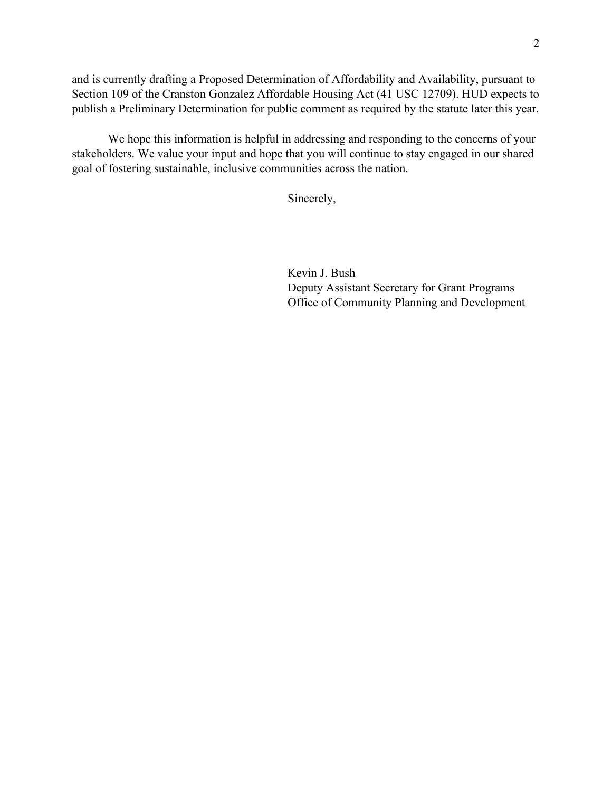and is currently drafting a Proposed Determination of Affordability and Availability, pursuant to Section 109 of the Cranston Gonzalez Affordable Housing Act (41 USC 12709). HUD expects to publish a Preliminary Determination for public comment as required by the statute later this year.

We hope this information is helpful in addressing and responding to the concerns of your stakeholders. We value your input and hope that you will continue to stay engaged in our shared goal of fostering sustainable, inclusive communities across the nation.

Sincerely,

KEVIN BUSH BUSH Digitally signed by KEVIN Date: 2021.07.29 16:07:58 -04'00'

Kevin J. Bush

Deputy Assistant Secretary for Grant Programs Office of Community Planning and Development